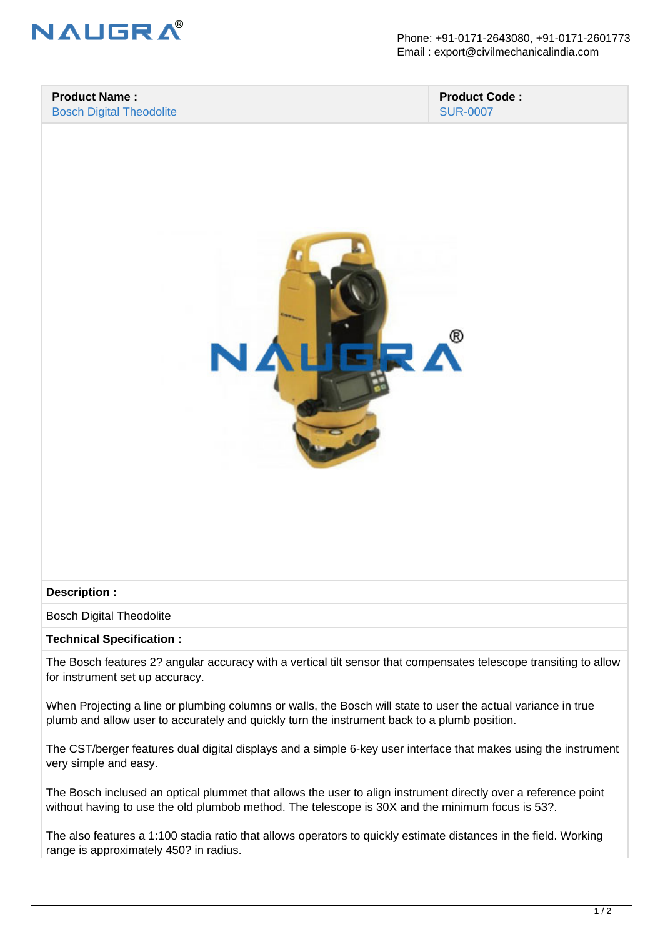

#### **Product Name :** Bosch Digital Theodolite

 **Product Code :** SUR-0007



### **Description :**

Bosch Digital Theodolite

### **Technical Specification :**

The Bosch features 2? angular accuracy with a vertical tilt sensor that compensates telescope transiting to allow for instrument set up accuracy.

When Projecting a line or plumbing columns or walls, the Bosch will state to user the actual variance in true plumb and allow user to accurately and quickly turn the instrument back to a plumb position.

The CST/berger features dual digital displays and a simple 6-key user interface that makes using the instrument very simple and easy.

The Bosch inclused an optical plummet that allows the user to align instrument directly over a reference point without having to use the old plumbob method. The telescope is 30X and the minimum focus is 53?.

The also features a 1:100 stadia ratio that allows operators to quickly estimate distances in the field. Working range is approximately 450? in radius.